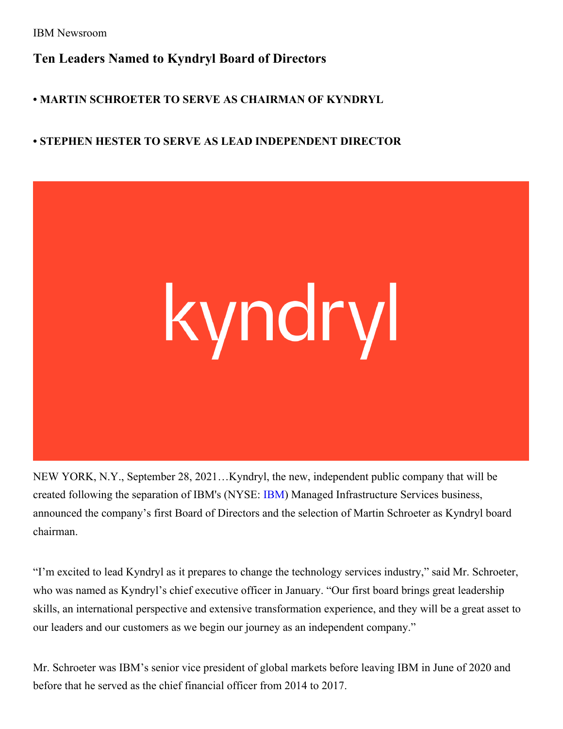IBM Newsroom

## **Ten Leaders Named to Kyndryl Board of Directors**

## **• MARTIN SCHROETER TO SERVE AS CHAIRMAN OF KYNDRYL**

## **• STEPHEN HESTER TO SERVE AS LEAD INDEPENDENT DIRECTOR**



NEW YORK, N.Y., September 28, 2021…Kyndryl, the new, independent public company that will be created following the separation of IBM's (NYSE: [IBM](http://www.ibm.com/investor)) Managed Infrastructure Services business, announced the company's first Board of Directors and the selection of Martin Schroeter as Kyndryl board chairman.

"I'm excited to lead Kyndryl as it prepares to change the technology services industry," said Mr. Schroeter, who was named as Kyndryl's chief executive officer in January. "Our first board brings great leadership skills, an international perspective and extensive transformation experience, and they will be a great asset to our leaders and our customers as we begin our journey as an independent company."

Mr. Schroeter was IBM's senior vice president of global markets before leaving IBM in June of 2020 and before that he served as the chief financial officer from 2014 to 2017.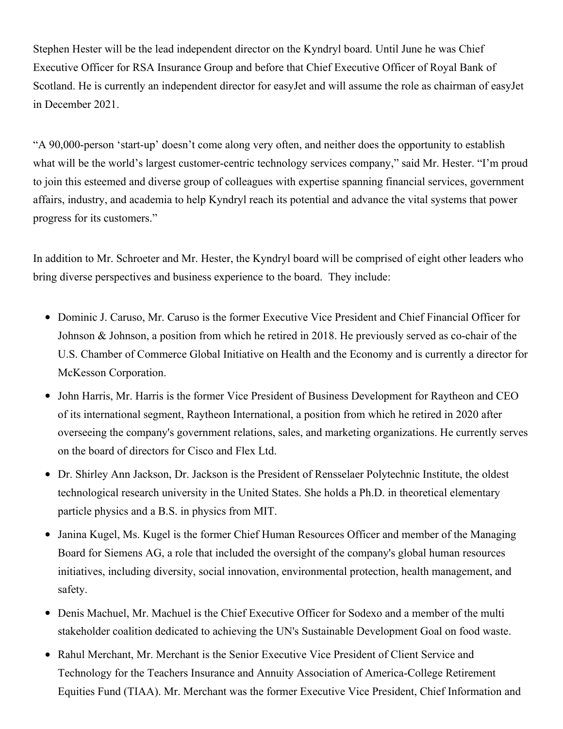Stephen Hester will be the lead independent director on the Kyndryl board. Until June he was Chief Executive Officer for RSA Insurance Group and before that Chief Executive Officer of Royal Bank of Scotland. He is currently an independent director for easyJet and will assume the role as chairman of easyJet in December 2021.

"A 90,000-person 'start-up' doesn't come along very often, and neither does the opportunity to establish what will be the world's largest customer-centric technology services company," said Mr. Hester. "I'm proud to join this esteemed and diverse group of colleagues with expertise spanning financial services, government affairs, industry, and academia to help Kyndryl reach its potential and advance the vital systems that power progress for its customers."

In addition to Mr. Schroeter and Mr. Hester, the Kyndryl board will be comprised of eight other leaders who bring diverse perspectives and business experience to the board. They include:

- Dominic J. Caruso, Mr. Caruso is the former Executive Vice President and Chief Financial Officer for Johnson & Johnson, a position from which he retired in 2018. He previously served as co-chair of the U.S. Chamber of Commerce Global Initiative on Health and the Economy and is currently a director for McKesson Corporation.
- John Harris, Mr. Harris is the former Vice President of Business Development for Raytheon and CEO of its international segment, Raytheon International, a position from which he retired in 2020 after overseeing the company's government relations, sales, and marketing organizations. He currently serves on the board of directors for Cisco and Flex Ltd.
- Dr. Shirley Ann Jackson, Dr. Jackson is the President of Rensselaer Polytechnic Institute, the oldest technological research university in the United States. She holds a Ph.D. in theoretical elementary particle physics and a B.S. in physics from MIT.
- Janina Kugel, Ms. Kugel is the former Chief Human Resources Officer and member of the Managing Board for Siemens AG, a role that included the oversight of the company's global human resources initiatives, including diversity, social innovation, environmental protection, health management, and safety.
- Denis Machuel, Mr. Machuel is the Chief Executive Officer for Sodexo and a member of the multi stakeholder coalition dedicated to achieving the UN's Sustainable Development Goal on food waste.
- Rahul Merchant, Mr. Merchant is the Senior Executive Vice President of Client Service and Technology for the Teachers Insurance and Annuity Association of America-College Retirement Equities Fund (TIAA). Mr. Merchant was the former Executive Vice President, Chief Information and